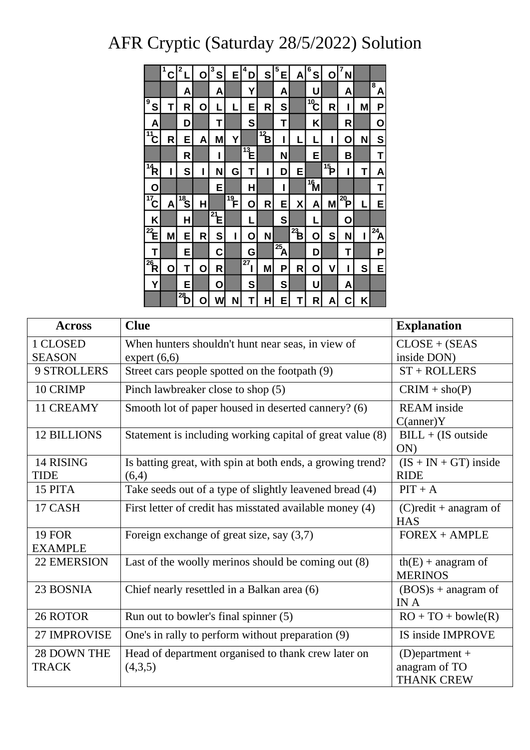## AFR Cryptic (Saturday 28/5/2022) Solution

|                         | 1<br>С | 2              | Ο | 3<br>S                      | E                         | 4<br>D         | S                     | 5<br>E                  | A            | 6<br>S          | 0                       | 7<br>N          |   |                |
|-------------------------|--------|----------------|---|-----------------------------|---------------------------|----------------|-----------------------|-------------------------|--------------|-----------------|-------------------------|-----------------|---|----------------|
|                         |        | A              |   | Α                           |                           | Y              |                       | A                       |              | U               |                         | A               |   | 8<br>Α         |
| 9<br>S                  | Τ      | R              | Ο | L                           | L                         | Е              | R                     | S                       |              | $\sqrt[10]{10}$ | R                       | I               | M | P              |
| Α                       |        | D              |   | T                           |                           | S              |                       | T                       |              | Κ               |                         | R               |   | Ο              |
| $\sqrt[11]{1}$          | R      | E              | Α | M                           | Y                         |                | $\overrightarrow{12}$ | I                       | L            | L               | I                       | Ο               | N | S              |
|                         |        | R              |   | ı                           |                           | $\frac{1}{13}$ |                       | N                       |              | E               |                         | B               |   | Τ              |
| $\overline{14}$         | I      | S              | I | N                           | G                         | T              | Ī                     | D                       | E            |                 | $\overline{\mathbf{P}}$ | I               | Τ | Α              |
| Ο                       |        |                |   | E                           |                           | н              |                       | I                       |              | $\frac{16}{16}$ |                         |                 |   | Τ              |
| $\sqrt{17}$             | A      | $\frac{1}{18}$ | Н |                             | $\overline{\mathbb{P}}$ . | O              | R                     | E                       | χ            | A               | M                       | $\frac{1}{20}P$ | L | E              |
| Κ                       |        | Н              |   | $\mathbb{Z}_{\mathsf{E}^*}$ |                           | L              |                       | S                       |              | L               |                         | 0               |   |                |
| $\overline{\mathbf{z}}$ | M      | E              | R | S                           | I                         | O              | Ν                     |                         | $\mathbf{B}$ | Ó               | S                       | N               | I | $\frac{1}{24}$ |
| Т                       |        | E              |   | C                           |                           | G              |                       | $\overline{\mathbf{A}}$ |              | D               |                         | Τ               |   | P              |
| $\overline{\mathbf{R}}$ | Ο      | Τ              | O | R                           |                           | $^{27}$        | M                     | Ρ                       | R            | О               | ۷                       | I               | S | E              |
| Υ                       |        | E              |   | О                           |                           | S              |                       | S                       |              | U               |                         | Α               |   |                |
|                         |        | $^{28}$        | O | W                           | N                         | Т              | н                     | E                       | Τ            | R               | Α                       | C               | Κ |                |

| <b>Across</b>                   | <b>Clue</b>                                                         | <b>Explanation</b>                                      |
|---------------------------------|---------------------------------------------------------------------|---------------------------------------------------------|
| 1 CLOSED                        | When hunters shouldn't hunt near seas, in view of                   | $CLOSE + (SEAS)$                                        |
| <b>SEASON</b>                   | expert $(6,6)$                                                      | inside DON)                                             |
| 9 STROLLERS                     | Street cars people spotted on the footpath (9)                      | $ST + ROLLERS$                                          |
| 10 CRIMP                        | Pinch lawbreaker close to shop (5)                                  | $CRIM + sho(P)$                                         |
| 11 CREAMY                       | Smooth lot of paper housed in deserted cannery? (6)                 | <b>REAM</b> inside<br>C(anner)Y                         |
| <b>12 BILLIONS</b>              | Statement is including working capital of great value (8)           | $BILL + (IS outside$<br>ON                              |
| 14 RISING<br>TIDE               | Is batting great, with spin at both ends, a growing trend?<br>(6,4) | $(IS + IN + GT)$ inside<br><b>RIDE</b>                  |
| 15 PITA                         | Take seeds out of a type of slightly leavened bread (4)             | $PIT + A$                                               |
| 17 CASH                         | First letter of credit has misstated available money (4)            | $(C)$ redit + anagram of<br><b>HAS</b>                  |
| <b>19 FOR</b><br><b>EXAMPLE</b> | Foreign exchange of great size, say $(3,7)$                         | $FOREX + AMPLE$                                         |
| <b>22 EMERSION</b>              | Last of the woolly merinos should be coming out $(8)$               | $th(E)$ + anagram of<br><b>MERINOS</b>                  |
| 23 BOSNIA                       | Chief nearly resettled in a Balkan area (6)                         | $(BOS)s + anagram$ of<br>IN A                           |
| 26 ROTOR                        | Run out to bowler's final spinner (5)                               | $RO + TO + bowle(R)$                                    |
| 27 IMPROVISE                    | One's in rally to perform without preparation (9)                   | IS inside IMPROVE                                       |
| 28 DOWN THE<br><b>TRACK</b>     | Head of department organised to thank crew later on<br>(4,3,5)      | $(D)$ epartment +<br>anagram of TO<br><b>THANK CREW</b> |